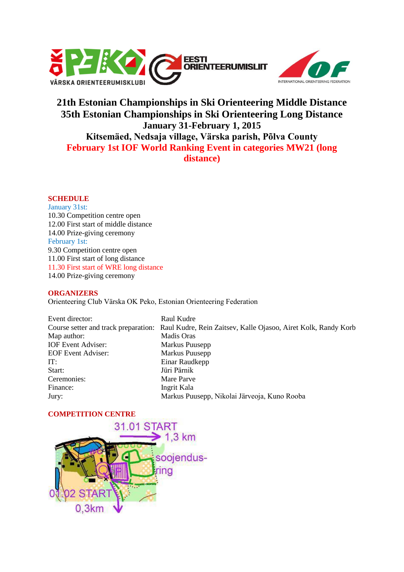



# **21th Estonian Championships in Ski Orienteering Middle Distance 35th Estonian Championships in Ski Orienteering Long Distance January 31-February 1, 2015 Kitsemäed, Nedsaja village, Värska parish, Põlva County February 1st IOF World Ranking Event in categories MW21 (long distance)**

# **SCHEDULE**

January 31st: 10.30 Competition centre open 12.00 First start of middle distance 14.00 Prize-giving ceremony February 1st: 9.30 Competition centre open 11.00 First start of long distance 11.30 First start of WRE long distance 14.00 Prize-giving ceremony

### **ORGANIZERS**

Orienteering Club Värska OK Peko, Estonian Orienteering Federation

Event director: Raul Kudre Map author: Madis Oras IOF Event Adviser: Markus Puusepp EOF Event Adviser: Markus Puusepp IT: Einar Raudkepp Start: Jüri Pärnik Ceremonies: Mare Parve Finance: Ingrit Kala

Course setter and track preparation: Raul Kudre, Rein Zaitsev, Kalle Ojasoo, Airet Kolk, Randy Korb Jury: Markus Puusepp, Nikolai Järveoja, Kuno Rooba

# **COMPETITION CENTRE**

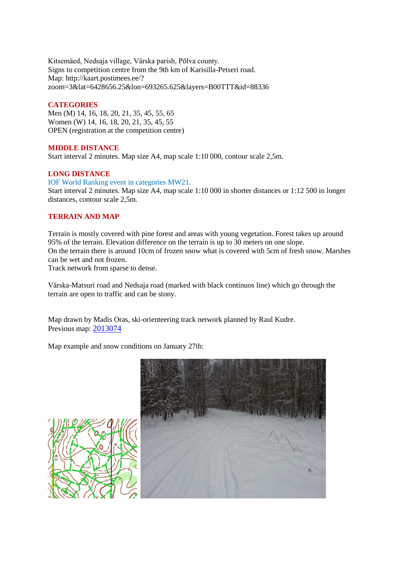Kitsemäed, Nedsaja village, Värska parish, Põlva county. Signs to competition centre from the 9th km of Karisilla-Petseri road. Map: http://kaart.postimees.ee/? zoom=3&lat=6428656.25&lon=693265.625&layers=B00TTT&id=88336

## **CATEGORIES**

Men (M) 14, 16, 18, 20, 21, 35, 45, 55, 65 Women (W) 14, 16, 18, 20, 21, 35, 45, 55 OPEN (registration at the competition centre)

## **MIDDLE DISTANCE**

Start interval 2 minutes. Map size A4, map scale 1:10 000, contour scale 2,5m.

## **LONG DISTANCE**

IOF World Ranking event in categories MW21.

Start interval 2 minutes. Map size A4, map scale 1:10 000 in shorter distances or 1:12 500 in longer distances, contour scale 2,5m.

## **TERRAIN AND MAP**

Terrain is mostly covered with pine forest and areas with young vegetation. Forest takes up around 95% of the terrain. Elevation difference on the terrain is up to 30 meters on one slope. On the terrain there is around 10cm of frozen snow what is covered with 5cm of fresh snow. Marshes can be wet and not frozen.

Track network from sparse to dense.

Värska-Matsuri road and Nedsaja road (marked with black continuos line) which go through the terrain are open to traffic and can be stony.

Map drawn by Madis Oras, ski-orienteering track network planned by Raul Kudre. Previous map: [2013074](http://www.orienteerumine.ee/kaart/kaartshow.php?Kood=2013074)

Map example and snow conditions on January 27th:

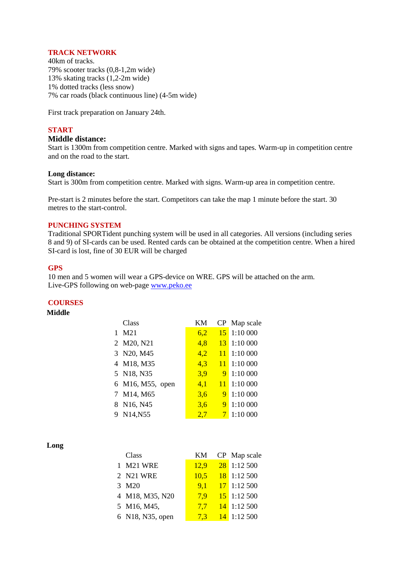#### **TRACK NETWORK**

40km of tracks. 79% scooter tracks (0,8-1,2m wide) 13% skating tracks (1,2-2m wide) 1% dotted tracks (less snow) 7% car roads (black continuous line) (4-5m wide)

First track preparation on January 24th.

# **START**

## **Middle distance:**

Start is 1300m from competition centre. Marked with signs and tapes. Warm-up in competition centre and on the road to the start.

#### **Long distance:**

Start is 300m from competition centre. Marked with signs. Warm-up area in competition centre.

Pre-start is 2 minutes before the start. Competitors can take the map 1 minute before the start. 30 metres to the start-control.

#### **PUNCHING SYSTEM**

Traditional SPORTident punching system will be used in all categories. All versions (including series 8 and 9) of SI-cards can be used. Rented cards can be obtained at the competition centre. When a hired SI-card is lost, fine of 30 EUR will be charged

#### **GPS**

10 men and 5 women will wear a GPS-device on WRE. GPS will be attached on the arm. Live-GPS following on web-page [www.peko.ee](http://www.peko.ee/)

### **COURSES**

#### **Middle**

|              | Class            | KМ  |                | CP Map scale         |
|--------------|------------------|-----|----------------|----------------------|
| $\mathbf{1}$ | M21              | 6,2 | <b>15</b>      | 1:10 000             |
|              | 2 M20, N21       | 4,8 |                | $13 \quad 1:10\,000$ |
|              | 3 N20, M45       | 4,2 |                | $11 \quad 1:10\,000$ |
|              | 4 M18, M35       | 4,3 | <sup>11</sup>  | 1:10 000             |
|              | 5 N18, N35       | 3,9 | 9 <sup>1</sup> | 1:10 000             |
|              | 6 M16, M55, open | 4,1 |                | $11 \t1:10000$       |
|              | 7 M14, M65       | 3,6 | 9 <sup>°</sup> | 1:10 000             |
|              | 8 N16, N45       | 3,6 | 9              | 1:10 000             |
|              | 9 N14, N55       | 2,7 | 7 <sup>1</sup> | 1:10 000             |

**Long**

| Class            | KM.  | CP Map scale  |
|------------------|------|---------------|
| 1 M21 WRE        | 12,9 | $28$ 1:12 500 |
| 2 N21 WRE        | 10.5 | $18$ 1:12 500 |
| 3 M20            | 9.1  | $17$ 1:12 500 |
| 4 M18, M35, N20  | 7.9  | $15$ 1:12 500 |
| 5 M16, M45,      | 7.7  | $14$ 1:12 500 |
| 6 N18, N35, open | 7,3  | $14$ 1:12 500 |